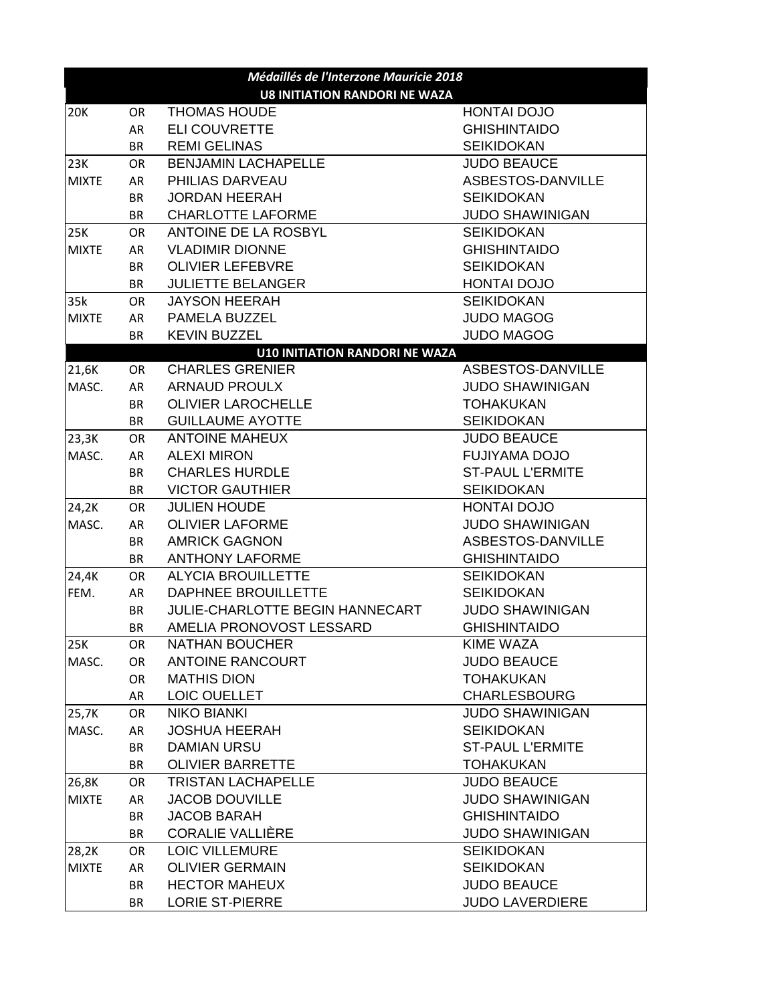| Médaillés de l'Interzone Mauricie 2018 |           |                                       |                         |  |  |  |
|----------------------------------------|-----------|---------------------------------------|-------------------------|--|--|--|
| <b>U8 INITIATION RANDORI NE WAZA</b>   |           |                                       |                         |  |  |  |
| 20K                                    | <b>OR</b> | <b>THOMAS HOUDE</b>                   | <b>HONTAI DOJO</b>      |  |  |  |
|                                        | AR        | <b>ELI COUVRETTE</b>                  | <b>GHISHINTAIDO</b>     |  |  |  |
|                                        | <b>BR</b> | <b>REMI GELINAS</b>                   | <b>SEIKIDOKAN</b>       |  |  |  |
| 23K                                    | <b>OR</b> | <b>BENJAMIN LACHAPELLE</b>            | <b>JUDO BEAUCE</b>      |  |  |  |
| <b>MIXTE</b>                           | AR        | PHILIAS DARVEAU                       | ASBESTOS-DANVILLE       |  |  |  |
|                                        | <b>BR</b> | <b>JORDAN HEERAH</b>                  | <b>SEIKIDOKAN</b>       |  |  |  |
|                                        | <b>BR</b> | <b>CHARLOTTE LAFORME</b>              | <b>JUDO SHAWINIGAN</b>  |  |  |  |
| 25K                                    | <b>OR</b> | ANTOINE DE LA ROSBYL                  | <b>SEIKIDOKAN</b>       |  |  |  |
| <b>MIXTE</b>                           | AR        | <b>VLADIMIR DIONNE</b>                | <b>GHISHINTAIDO</b>     |  |  |  |
|                                        | <b>BR</b> | <b>OLIVIER LEFEBVRE</b>               | <b>SEIKIDOKAN</b>       |  |  |  |
|                                        | BR        | <b>JULIETTE BELANGER</b>              | <b>HONTAI DOJO</b>      |  |  |  |
| 35k                                    | <b>OR</b> | <b>JAYSON HEERAH</b>                  | <b>SEIKIDOKAN</b>       |  |  |  |
| <b>MIXTE</b>                           | AR        | PAMELA BUZZEL                         | <b>JUDO MAGOG</b>       |  |  |  |
|                                        | BR        | <b>KEVIN BUZZEL</b>                   | <b>JUDO MAGOG</b>       |  |  |  |
|                                        |           | <b>U10 INITIATION RANDORI NE WAZA</b> |                         |  |  |  |
| 21,6K                                  | <b>OR</b> | <b>CHARLES GRENIER</b>                | ASBESTOS-DANVILLE       |  |  |  |
| MASC.                                  | AR        | <b>ARNAUD PROULX</b>                  | <b>JUDO SHAWINIGAN</b>  |  |  |  |
|                                        | <b>BR</b> | <b>OLIVIER LAROCHELLE</b>             | <b>TOHAKUKAN</b>        |  |  |  |
|                                        | <b>BR</b> | <b>GUILLAUME AYOTTE</b>               | <b>SEIKIDOKAN</b>       |  |  |  |
| 23,3K                                  | <b>OR</b> | <b>ANTOINE MAHEUX</b>                 | <b>JUDO BEAUCE</b>      |  |  |  |
| MASC.                                  | AR        | <b>ALEXI MIRON</b>                    | <b>FUJIYAMA DOJO</b>    |  |  |  |
|                                        | <b>BR</b> | <b>CHARLES HURDLE</b>                 | <b>ST-PAUL L'ERMITE</b> |  |  |  |
|                                        | BR        | <b>VICTOR GAUTHIER</b>                | <b>SEIKIDOKAN</b>       |  |  |  |
| 24,2K                                  | OR        | <b>JULIEN HOUDE</b>                   | HONTAI DOJO             |  |  |  |
| MASC.                                  | AR        | <b>OLIVIER LAFORME</b>                | <b>JUDO SHAWINIGAN</b>  |  |  |  |
|                                        | BR        | <b>AMRICK GAGNON</b>                  | ASBESTOS-DANVILLE       |  |  |  |
|                                        | <b>BR</b> | <b>ANTHONY LAFORME</b>                | <b>GHISHINTAIDO</b>     |  |  |  |
| 24,4K                                  | OR.       | <b>ALYCIA BROUILLETTE</b>             | <b>SEIKIDOKAN</b>       |  |  |  |
| FEM.                                   | AR        | DAPHNEE BROUILLETTE                   | <b>SEIKIDOKAN</b>       |  |  |  |
|                                        | BR        | JULIE-CHARLOTTE BEGIN HANNECART       | <b>JUDO SHAWINIGAN</b>  |  |  |  |
|                                        | <b>BR</b> | AMELIA PRONOVOST LESSARD              | <b>GHISHINTAIDO</b>     |  |  |  |
| 25K                                    | OR.       | <b>NATHAN BOUCHER</b>                 | <b>KIME WAZA</b>        |  |  |  |
| MASC.                                  | OR.       | <b>ANTOINE RANCOURT</b>               | <b>JUDO BEAUCE</b>      |  |  |  |
|                                        | <b>OR</b> | <b>MATHIS DION</b>                    | <b>TOHAKUKAN</b>        |  |  |  |
|                                        | AR        | LOIC OUELLET                          | <b>CHARLESBOURG</b>     |  |  |  |
| 25,7K                                  | OR.       | <b>NIKO BIANKI</b>                    | <b>JUDO SHAWINIGAN</b>  |  |  |  |
| MASC.                                  | AR        | <b>JOSHUA HEERAH</b>                  | <b>SEIKIDOKAN</b>       |  |  |  |
|                                        | <b>BR</b> | <b>DAMIAN URSU</b>                    | <b>ST-PAUL L'ERMITE</b> |  |  |  |
|                                        | <b>BR</b> | <b>OLIVIER BARRETTE</b>               | <b>TOHAKUKAN</b>        |  |  |  |
| 26,8K                                  | OR.       | <b>TRISTAN LACHAPELLE</b>             | <b>JUDO BEAUCE</b>      |  |  |  |
| <b>MIXTE</b>                           | AR        | <b>JACOB DOUVILLE</b>                 | <b>JUDO SHAWINIGAN</b>  |  |  |  |
|                                        | <b>BR</b> | <b>JACOB BARAH</b>                    | <b>GHISHINTAIDO</b>     |  |  |  |
|                                        | <b>BR</b> | <b>CORALIE VALLIÈRE</b>               | <b>JUDO SHAWINIGAN</b>  |  |  |  |
| 28,2K                                  | OR.       | <b>LOIC VILLEMURE</b>                 | <b>SEIKIDOKAN</b>       |  |  |  |
| <b>MIXTE</b>                           | AR        | <b>OLIVIER GERMAIN</b>                | <b>SEIKIDOKAN</b>       |  |  |  |
|                                        | <b>BR</b> | <b>HECTOR MAHEUX</b>                  | <b>JUDO BEAUCE</b>      |  |  |  |
|                                        | <b>BR</b> | LORIE ST-PIERRE                       | <b>JUDO LAVERDIERE</b>  |  |  |  |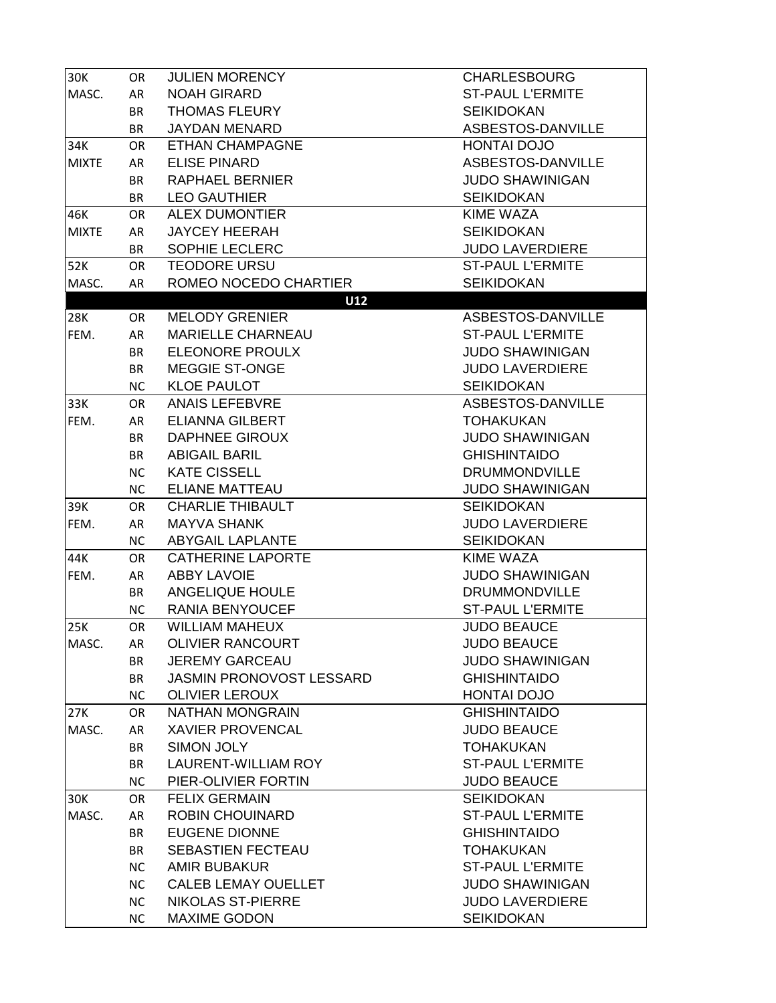| 30K          | OR        | <b>JULIEN MORENCY</b>      | <b>CHARLESBOURG</b>     |
|--------------|-----------|----------------------------|-------------------------|
| MASC.        | AR        | <b>NOAH GIRARD</b>         | <b>ST-PAUL L'ERMITE</b> |
|              | BR        | <b>THOMAS FLEURY</b>       | <b>SEIKIDOKAN</b>       |
|              | <b>BR</b> | <b>JAYDAN MENARD</b>       | ASBESTOS-DANVILLE       |
| 34K          | <b>OR</b> | <b>ETHAN CHAMPAGNE</b>     | HONTAI DOJO             |
| <b>MIXTE</b> | AR        | <b>ELISE PINARD</b>        | ASBESTOS-DANVILLE       |
|              | BR        | <b>RAPHAEL BERNIER</b>     | <b>JUDO SHAWINIGAN</b>  |
|              | <b>BR</b> | <b>LEO GAUTHIER</b>        | <b>SEIKIDOKAN</b>       |
| 46K          | <b>OR</b> | <b>ALEX DUMONTIER</b>      | <b>KIME WAZA</b>        |
| <b>MIXTE</b> | AR        | <b>JAYCEY HEERAH</b>       | <b>SEIKIDOKAN</b>       |
|              | <b>BR</b> | SOPHIE LECLERC             | <b>JUDO LAVERDIERE</b>  |
| 52K          | <b>OR</b> | <b>TEODORE URSU</b>        | <b>ST-PAUL L'ERMITE</b> |
| MASC.        | AR        | ROMEO NOCEDO CHARTIER      | <b>SEIKIDOKAN</b>       |
|              |           | U12                        |                         |
| <b>28K</b>   | OR.       | <b>MELODY GRENIER</b>      | ASBESTOS-DANVILLE       |
| FEM.         | AR        | <b>MARIELLE CHARNEAU</b>   | <b>ST-PAUL L'ERMITE</b> |
|              | <b>BR</b> | ELEONORE PROULX            | <b>JUDO SHAWINIGAN</b>  |
|              | <b>BR</b> | <b>MEGGIE ST-ONGE</b>      | <b>JUDO LAVERDIERE</b>  |
|              | <b>NC</b> | <b>KLOE PAULOT</b>         | <b>SEIKIDOKAN</b>       |
| 33K          | OR        | <b>ANAIS LEFEBVRE</b>      | ASBESTOS-DANVILLE       |
| FEM.         | AR        | <b>ELIANNA GILBERT</b>     | <b>TOHAKUKAN</b>        |
|              | <b>BR</b> | <b>DAPHNEE GIROUX</b>      | <b>JUDO SHAWINIGAN</b>  |
|              | <b>BR</b> | <b>ABIGAIL BARIL</b>       | <b>GHISHINTAIDO</b>     |
|              | <b>NC</b> | <b>KATE CISSELL</b>        | <b>DRUMMONDVILLE</b>    |
|              | <b>NC</b> | <b>ELIANE MATTEAU</b>      | <b>JUDO SHAWINIGAN</b>  |
| 39K          | OR        | <b>CHARLIE THIBAULT</b>    | <b>SEIKIDOKAN</b>       |
| FEM.         | AR        | <b>MAYVA SHANK</b>         | <b>JUDO LAVERDIERE</b>  |
|              | <b>NC</b> | <b>ABYGAIL LAPLANTE</b>    | <b>SEIKIDOKAN</b>       |
| 44K          | OR        | <b>CATHERINE LAPORTE</b>   | <b>KIME WAZA</b>        |
| FEM.         | AR        | <b>ABBY LAVOIE</b>         | <b>JUDO SHAWINIGAN</b>  |
|              | <b>BR</b> | <b>ANGELIQUE HOULE</b>     | <b>DRUMMONDVILLE</b>    |
|              | <b>NC</b> | RANIA BENYOUCEF            | <b>ST-PAUL L'ERMITE</b> |
| 25K          | OR.       | <b>WILLIAM MAHEUX</b>      | <b>JUDO BEAUCE</b>      |
| MASC.        | AR        | <b>OLIVIER RANCOURT</b>    | <b>JUDO BEAUCE</b>      |
|              | <b>BR</b> | <b>JEREMY GARCEAU</b>      | <b>JUDO SHAWINIGAN</b>  |
|              | <b>BR</b> | JASMIN PRONOVOST LESSARD   | <b>GHISHINTAIDO</b>     |
|              | <b>NC</b> | <b>OLIVIER LEROUX</b>      | HONTAI DOJO             |
| 27K          | OR        | NATHAN MONGRAIN            | <b>GHISHINTAIDO</b>     |
| MASC.        | AR        | <b>XAVIER PROVENCAL</b>    | <b>JUDO BEAUCE</b>      |
|              | <b>BR</b> | <b>SIMON JOLY</b>          | <b>TOHAKUKAN</b>        |
|              | <b>BR</b> | <b>LAURENT-WILLIAM ROY</b> | <b>ST-PAUL L'ERMITE</b> |
|              | <b>NC</b> | PIER-OLIVIER FORTIN        | <b>JUDO BEAUCE</b>      |
| 30K          | <b>OR</b> | <b>FELIX GERMAIN</b>       | <b>SEIKIDOKAN</b>       |
| MASC.        | AR        | <b>ROBIN CHOUINARD</b>     | <b>ST-PAUL L'ERMITE</b> |
|              | <b>BR</b> | <b>EUGENE DIONNE</b>       | <b>GHISHINTAIDO</b>     |
|              | <b>BR</b> | <b>SEBASTIEN FECTEAU</b>   | <b>TOHAKUKAN</b>        |
|              | <b>NC</b> | <b>AMIR BUBAKUR</b>        | <b>ST-PAUL L'ERMITE</b> |
|              | <b>NC</b> | <b>CALEB LEMAY OUELLET</b> | <b>JUDO SHAWINIGAN</b>  |
|              | <b>NC</b> | <b>NIKOLAS ST-PIERRE</b>   | <b>JUDO LAVERDIERE</b>  |
|              | <b>NC</b> | <b>MAXIME GODON</b>        | <b>SEIKIDOKAN</b>       |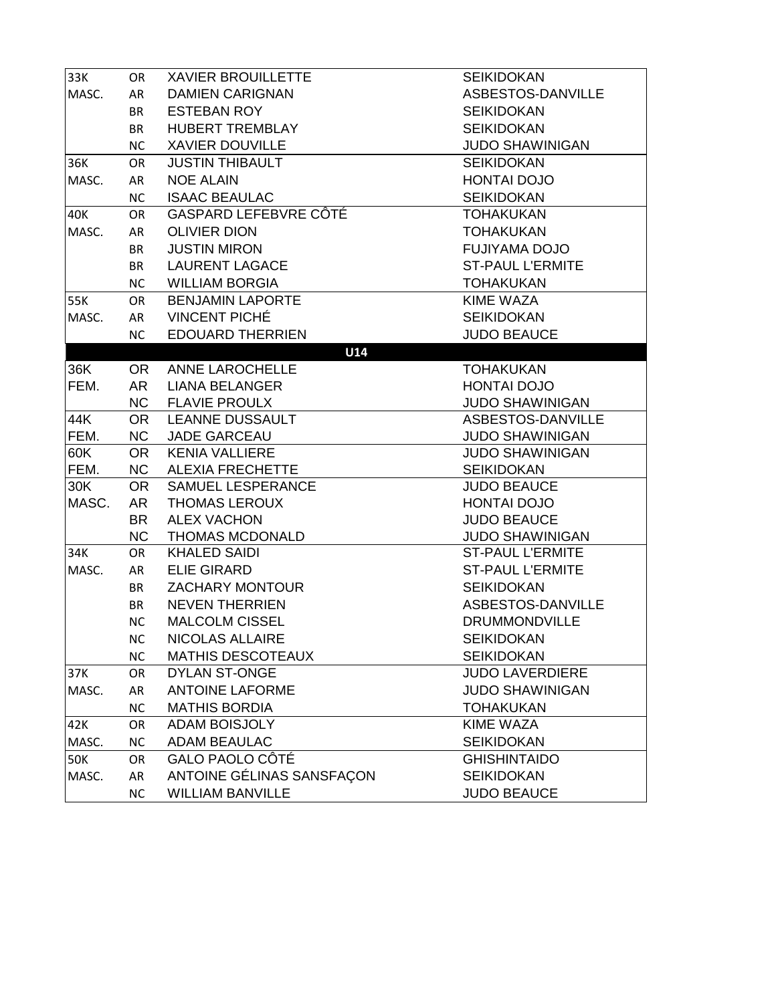| 33K   | <b>OR</b> | <b>XAVIER BROUILLETTE</b> | <b>SEIKIDOKAN</b>       |
|-------|-----------|---------------------------|-------------------------|
| MASC. | AR        | <b>DAMIEN CARIGNAN</b>    | ASBESTOS-DANVILLE       |
|       | <b>BR</b> | <b>ESTEBAN ROY</b>        | <b>SEIKIDOKAN</b>       |
|       | <b>BR</b> | <b>HUBERT TREMBLAY</b>    | <b>SEIKIDOKAN</b>       |
|       | <b>NC</b> | <b>XAVIER DOUVILLE</b>    | <b>JUDO SHAWINIGAN</b>  |
| 36K   | OR        | <b>JUSTIN THIBAULT</b>    | <b>SEIKIDOKAN</b>       |
| MASC. | AR        | <b>NOE ALAIN</b>          | <b>HONTAI DOJO</b>      |
|       | <b>NC</b> | <b>ISAAC BEAULAC</b>      | <b>SEIKIDOKAN</b>       |
| 40K   | OR.       | GASPARD LEFEBVRE CÔTÉ     | <b>TOHAKUKAN</b>        |
| MASC. | AR        | <b>OLIVIER DION</b>       | <b>TOHAKUKAN</b>        |
|       | <b>BR</b> | <b>JUSTIN MIRON</b>       | <b>FUJIYAMA DOJO</b>    |
|       | <b>BR</b> | <b>LAURENT LAGACE</b>     | <b>ST-PAUL L'ERMITE</b> |
|       | <b>NC</b> | <b>WILLIAM BORGIA</b>     | <b>TOHAKUKAN</b>        |
| 55K   | <b>OR</b> | <b>BENJAMIN LAPORTE</b>   | <b>KIME WAZA</b>        |
| MASC. | AR        | <b>VINCENT PICHÉ</b>      | <b>SEIKIDOKAN</b>       |
|       | <b>NC</b> | <b>EDOUARD THERRIEN</b>   | <b>JUDO BEAUCE</b>      |
|       |           | U14                       |                         |
| 36K   | <b>OR</b> | ANNE LAROCHELLE           | <b>TOHAKUKAN</b>        |
| FEM.  | AR        | <b>LIANA BELANGER</b>     | <b>HONTAI DOJO</b>      |
|       | NC        | <b>FLAVIE PROULX</b>      | <b>JUDO SHAWINIGAN</b>  |
| 44K   | <b>OR</b> | <b>LEANNE DUSSAULT</b>    | ASBESTOS-DANVILLE       |
| FEM.  | <b>NC</b> | <b>JADE GARCEAU</b>       | <b>JUDO SHAWINIGAN</b>  |
| 60K   | OR.       | <b>KENIA VALLIERE</b>     | <b>JUDO SHAWINIGAN</b>  |
| FEM.  | <b>NC</b> | <b>ALEXIA FRECHETTE</b>   | <b>SEIKIDOKAN</b>       |
| 30K   | <b>OR</b> | SAMUEL LESPERANCE         | <b>JUDO BEAUCE</b>      |
| MASC. | <b>AR</b> | <b>THOMAS LEROUX</b>      | HONTAI DOJO             |
|       | <b>BR</b> | <b>ALEX VACHON</b>        | <b>JUDO BEAUCE</b>      |
|       | <b>NC</b> | <b>THOMAS MCDONALD</b>    | <b>JUDO SHAWINIGAN</b>  |
| 34K   | <b>OR</b> | <b>KHALED SAIDI</b>       | <b>ST-PAUL L'ERMITE</b> |
| MASC. | AR        | <b>ELIE GIRARD</b>        | <b>ST-PAUL L'ERMITE</b> |
|       | <b>BR</b> | <b>ZACHARY MONTOUR</b>    | <b>SEIKIDOKAN</b>       |
|       | <b>BR</b> | <b>NEVEN THERRIEN</b>     | ASBESTOS-DANVILLE       |
|       | <b>NC</b> | <b>MALCOLM CISSEL</b>     | <b>DRUMMONDVILLE</b>    |
|       | NC        | NICOLAS ALLAIRE           | SEIKIDOKAN              |
|       | <b>NC</b> | <b>MATHIS DESCOTEAUX</b>  | <b>SEIKIDOKAN</b>       |
| 37K   | <b>OR</b> | <b>DYLAN ST-ONGE</b>      | <b>JUDO LAVERDIERE</b>  |
| MASC. | AR        | <b>ANTOINE LAFORME</b>    | <b>JUDO SHAWINIGAN</b>  |
|       | <b>NC</b> | <b>MATHIS BORDIA</b>      | <b>TOHAKUKAN</b>        |
| 42K   | OR.       | <b>ADAM BOISJOLY</b>      | <b>KIME WAZA</b>        |
| MASC. | <b>NC</b> | <b>ADAM BEAULAC</b>       | <b>SEIKIDOKAN</b>       |
| 50K   | <b>OR</b> | GALO PAOLO CÔTÉ           | <b>GHISHINTAIDO</b>     |
| MASC. | AR        | ANTOINE GÉLINAS SANSFAÇON | <b>SEIKIDOKAN</b>       |
|       | <b>NC</b> | <b>WILLIAM BANVILLE</b>   | <b>JUDO BEAUCE</b>      |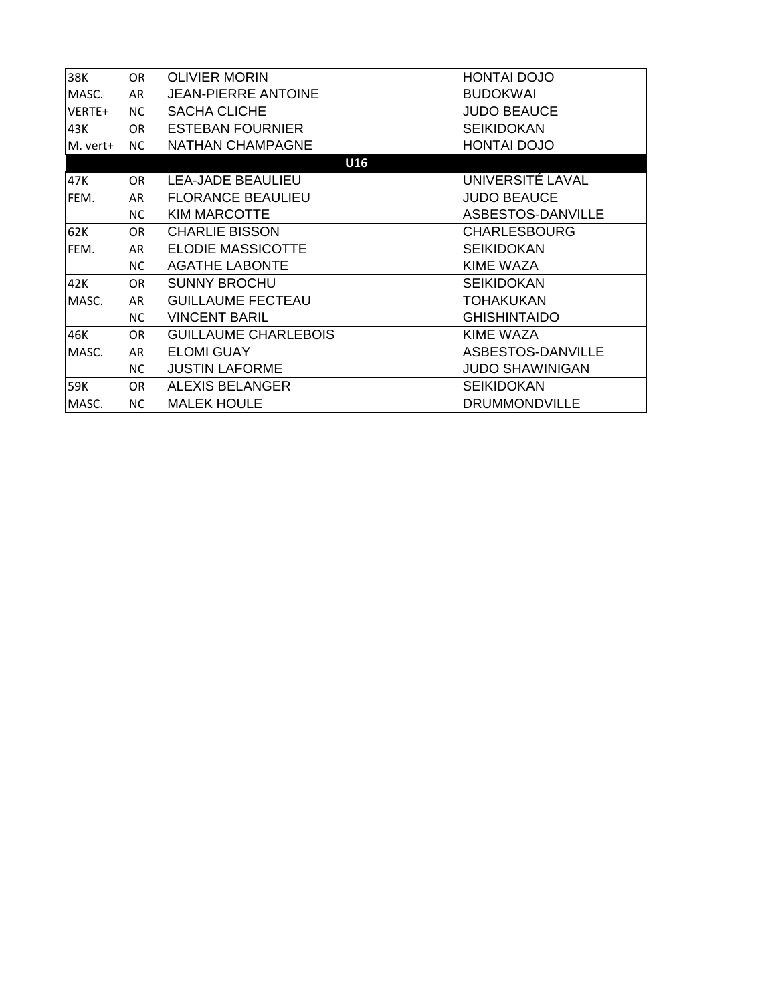| 38K      | <b>OR</b> | <b>OLIVIER MORIN</b>        | <b>HONTAI DOJO</b>     |  |  |
|----------|-----------|-----------------------------|------------------------|--|--|
| MASC.    | AR        | <b>JEAN-PIERRE ANTOINE</b>  | <b>BUDOKWAI</b>        |  |  |
| VERTE+   | NC.       | <b>SACHA CLICHE</b>         | <b>JUDO BEAUCE</b>     |  |  |
| 43K      | OR.       | <b>ESTEBAN FOURNIER</b>     | <b>SEIKIDOKAN</b>      |  |  |
| M. vert+ | NC.       | <b>NATHAN CHAMPAGNE</b>     | <b>HONTAI DOJO</b>     |  |  |
| U16      |           |                             |                        |  |  |
| 47K      | OR.       | <b>LEA-JADE BEAULIEU</b>    | UNIVERSITÉ LAVAL       |  |  |
| FEM.     | AR        | <b>FLORANCE BEAULIEU</b>    | <b>JUDO BEAUCE</b>     |  |  |
|          | NC.       | <b>KIM MARCOTTE</b>         | ASBESTOS-DANVILLE      |  |  |
| 62K      | OR.       | <b>CHARLIE BISSON</b>       | <b>CHARLESBOURG</b>    |  |  |
| FEM.     | AR        | <b>ELODIE MASSICOTTE</b>    | <b>SEIKIDOKAN</b>      |  |  |
|          | NC.       | <b>AGATHE LABONTE</b>       | <b>KIME WAZA</b>       |  |  |
| 42K      | OR.       | <b>SUNNY BROCHU</b>         | <b>SEIKIDOKAN</b>      |  |  |
| MASC.    | AR        | <b>GUILLAUME FECTEAU</b>    | <b>TOHAKUKAN</b>       |  |  |
|          | NC.       | <b>VINCENT BARIL</b>        | <b>GHISHINTAIDO</b>    |  |  |
| 46K      | OR.       | <b>GUILLAUME CHARLEBOIS</b> | KIME WAZA              |  |  |
| MASC.    | AR        | <b>ELOMI GUAY</b>           | ASBESTOS-DANVILLE      |  |  |
|          | NC.       | <b>JUSTIN LAFORME</b>       | <b>JUDO SHAWINIGAN</b> |  |  |
| 59K      | OR        | <b>ALEXIS BELANGER</b>      | <b>SEIKIDOKAN</b>      |  |  |
| MASC.    | NC.       | <b>MALEK HOULE</b>          | <b>DRUMMONDVILLE</b>   |  |  |